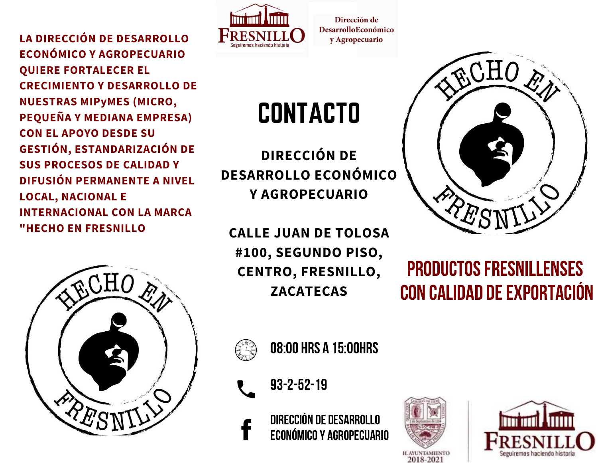**LA DIRECCIÓN DE DESARROLLO ECONÓMICO Y AGROPECUARIO QUIERE FORTALECER EL CRECIMIENTO Y DESARROLLO DE NUESTRAS MIPyMES (MICRO, PEQUEÑA Y MEDIANA EMPRESA) CON EL APOYO DESDE SU GESTIÓN, ESTANDARIZACIÓN DE SUS PROCESOS DE CALIDAD Y DIFUSIÓN PERMANENTE A NIVEL LOCAL, NACIONAL E INTERNACIONAL CON LA MARCA "HECHO EN FRESNILLO**





Dirección de **DesarrolloEconómico** y Agropecuario

# CONTACTO

**DIRECCIÓN DE DESARROLLO ECONÓMICO Y AGROPECUARIO**

**CALLE JUAN DE TOLOSA #100, SEGUNDO PISO, CENTRO, FRESNILLO, ZACATECAS**



# PRODUCTOS FRESNILLENSES CON CALIDAD DE EXPORTACIÓN



08:00 HRS A 15:00HRS

93-2-52-19

DIRECCIÓN DE DESARROLLO ECONÓMICOY AGROPECUARIO